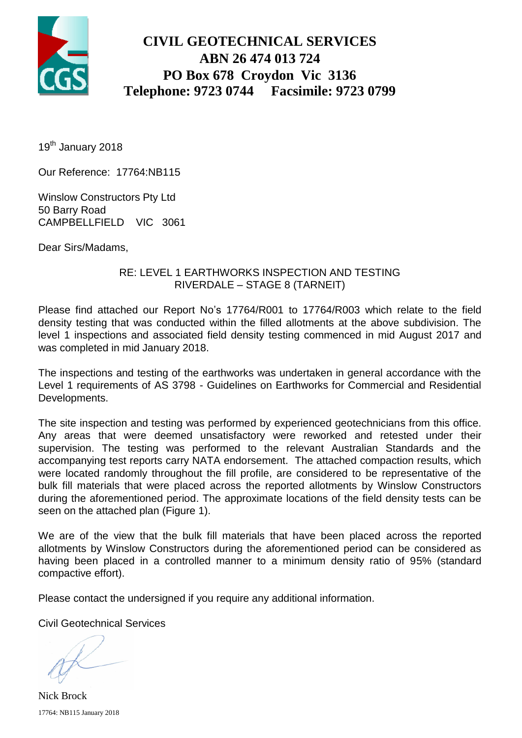

## **CIVIL GEOTECHNICAL SERVICES ABN 26 474 013 724 PO Box 678 Croydon Vic 3136 Telephone: 9723 0744 Facsimile: 9723 0799**

19<sup>th</sup> January 2018

Our Reference: 17764:NB115

Winslow Constructors Pty Ltd 50 Barry Road CAMPBELLFIELD VIC 3061

Dear Sirs/Madams,

### RE: LEVEL 1 EARTHWORKS INSPECTION AND TESTING RIVERDALE – STAGE 8 (TARNEIT)

Please find attached our Report No's 17764/R001 to 17764/R003 which relate to the field density testing that was conducted within the filled allotments at the above subdivision. The level 1 inspections and associated field density testing commenced in mid August 2017 and was completed in mid January 2018.

The inspections and testing of the earthworks was undertaken in general accordance with the Level 1 requirements of AS 3798 - Guidelines on Earthworks for Commercial and Residential Developments.

The site inspection and testing was performed by experienced geotechnicians from this office. Any areas that were deemed unsatisfactory were reworked and retested under their supervision. The testing was performed to the relevant Australian Standards and the accompanying test reports carry NATA endorsement. The attached compaction results, which were located randomly throughout the fill profile, are considered to be representative of the bulk fill materials that were placed across the reported allotments by Winslow Constructors during the aforementioned period. The approximate locations of the field density tests can be seen on the attached plan (Figure 1).

We are of the view that the bulk fill materials that have been placed across the reported allotments by Winslow Constructors during the aforementioned period can be considered as having been placed in a controlled manner to a minimum density ratio of 95% (standard compactive effort).

Please contact the undersigned if you require any additional information.

Civil Geotechnical Services

17764: NB115 January 2018 Nick Brock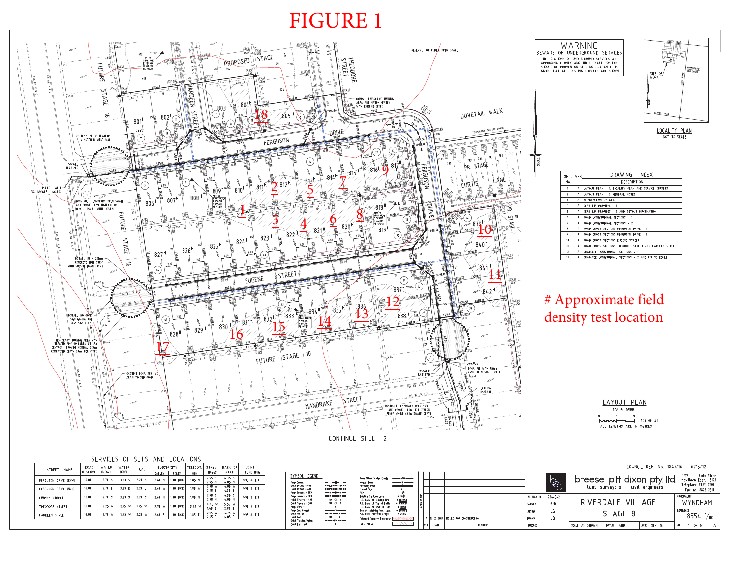# FIGURE 1



**Readers** 

VER. DATE

REMARK

CHECKED

SCALE AS SHOWN | DATUM AHD | DATE SEP' 16

SHEET 1 OF 13 A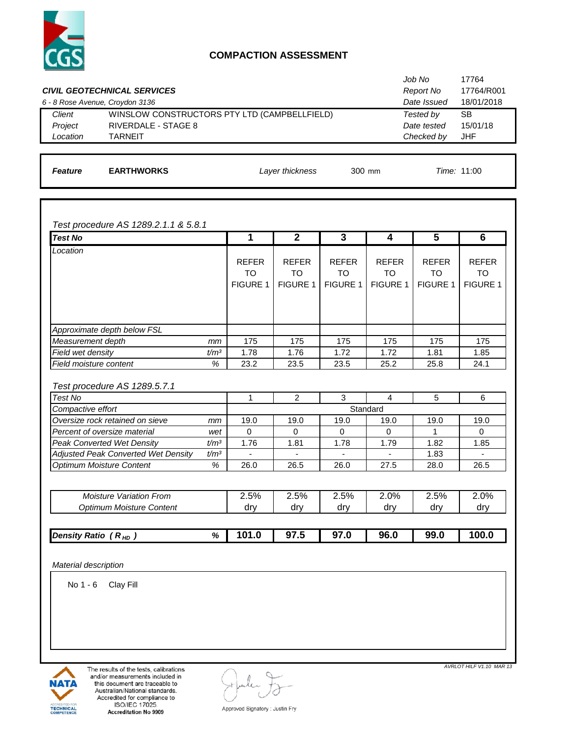

#### **COMPACTION ASSESSMENT**

|                                 | <b>CIVIL GEOTECHNICAL SERVICES</b>           | Job No<br>Report No | 17764<br>17764/R001 |
|---------------------------------|----------------------------------------------|---------------------|---------------------|
| 6 - 8 Rose Avenue, Croydon 3136 |                                              | Date Issued         | 18/01/2018          |
| Client                          | WINSLOW CONSTRUCTORS PTY LTD (CAMPBELLFIELD) | Tested by           | SВ                  |
| Project                         | RIVERDALE - STAGE 8                          | Date tested         | 15/01/18            |
| Location                        | <b>TARNEIT</b>                               | Checked by          | <b>JHF</b>          |
|                                 |                                              |                     |                     |

**Feature EARTHWORKS** *Layer thickness* 300 mm *Time:* 11:00 *Layer thickness*

*Test procedure AS 1289.2.1.1 & 5.8.1*

| <b>Test No</b>                      |                  | 1               | $\mathbf{2}$    | 3               | 4               | 5               | 6               |
|-------------------------------------|------------------|-----------------|-----------------|-----------------|-----------------|-----------------|-----------------|
| Location                            |                  |                 |                 |                 |                 |                 |                 |
|                                     |                  | <b>REFER</b>    | <b>REFER</b>    | <b>REFER</b>    | <b>REFER</b>    | <b>REFER</b>    | <b>REFER</b>    |
|                                     |                  | <b>TO</b>       | TO              | TO              | TO              | <b>TO</b>       | TO              |
|                                     |                  | <b>FIGURE 1</b> | <b>FIGURE 1</b> | <b>FIGURE 1</b> | <b>FIGURE 1</b> | <b>FIGURE 1</b> | <b>FIGURE 1</b> |
|                                     |                  |                 |                 |                 |                 |                 |                 |
|                                     |                  |                 |                 |                 |                 |                 |                 |
|                                     |                  |                 |                 |                 |                 |                 |                 |
| Approximate depth below FSL         |                  |                 |                 |                 |                 |                 |                 |
| Measurement depth                   | mm               | 175             | 175             | 175             | 175             | 175             | 175             |
| Field wet density                   | t/m <sup>3</sup> | 1.78            | 1.76            | 1.72            | 1.72            | 1.81            | 1.85            |
| Field moisture content              | %                | 23.2            | 23.5            | 23.5            | 25.2            | 25.8            | 24.1            |
|                                     |                  |                 |                 |                 |                 |                 |                 |
| Test procedure AS 1289.5.7.1        |                  |                 |                 |                 |                 |                 |                 |
| Test No                             |                  | 1               | $\overline{2}$  | 3               | 4               | 5               | 6               |
| Compactive effort                   |                  |                 |                 |                 | Standard        |                 |                 |
| Oversize rock retained on sieve     | mm               | 19.0            | 19.0            | 19.0            | 19.0            | 19.0            | 19.0            |
| Percent of oversize material        | wet              | $\Omega$        | $\Omega$        | $\Omega$        | $\Omega$        | 1               | $\Omega$        |
| <b>Peak Converted Wet Density</b>   | t/m <sup>3</sup> | 1.76            | 1.81            | 1.78            | 1.79            | 1.82            | 1.85            |
| Adjusted Peak Converted Wet Density | t/m <sup>3</sup> | $\blacksquare$  | ٠               |                 | ٠               | 1.83            |                 |
| <b>Optimum Moisture Content</b>     | %                | 26.0            | 26.5            | 26.0            | 27.5            | 28.0            | 26.5            |

| <b>Moisture Variation From</b><br>Optimum Moisture Content | 2.5%<br>drv | 2.5%<br>drv | 2.5%<br>drv | $2.0\%$<br>drv | 2.5%<br>drv | $2.0\%$<br>drv |
|------------------------------------------------------------|-------------|-------------|-------------|----------------|-------------|----------------|
|                                                            |             |             |             |                |             |                |
| ℅<br>Density Ratio ( $R_{HD}$ )                            | 101.0       | 97.5        | 97.0        | 96.0           | 99.0        | 100.0          |

*Material description*

No 1 - 6 Clay Fill



The results of the tests, calibrations and/or measurements included in this document are traceable to Australian/National standards. Accredited for compliance to<br>ISO/IEC 17025 Accreditation No 9909

*AVRLOT HILF V1.10 MAR 13* 

Approved Signatory : Justin Fry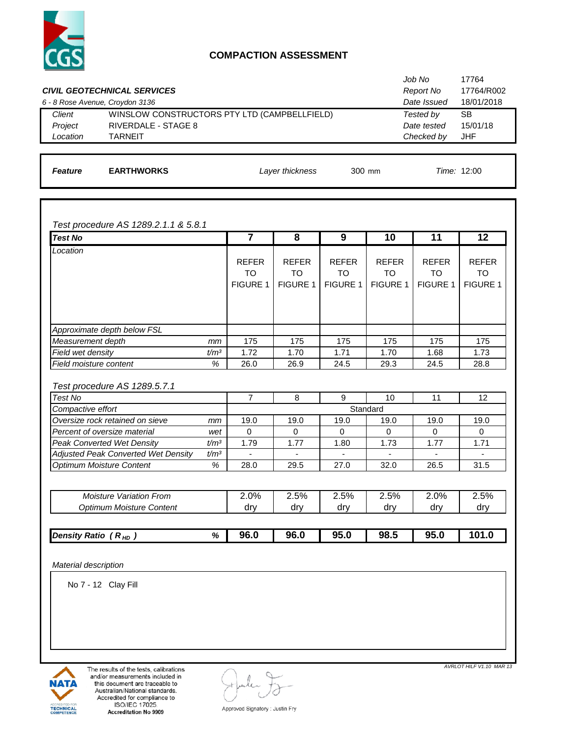

#### **COMPACTION ASSESSMENT**

|                                 | <b>CIVIL GEOTECHNICAL SERVICES</b>           | Job No<br>Report No | 17764<br>17764/R002 |
|---------------------------------|----------------------------------------------|---------------------|---------------------|
| 6 - 8 Rose Avenue, Croydon 3136 |                                              | Date Issued         | 18/01/2018          |
| Client                          | WINSLOW CONSTRUCTORS PTY LTD (CAMPBELLFIELD) | Tested by           | SВ                  |
| Project                         | RIVERDALE - STAGE 8                          | Date tested         | 15/01/18            |
| Location                        | <b>TARNEIT</b>                               | Checked by          | JHF                 |
|                                 |                                              |                     |                     |

**Feature EARTHWORKS 12:00** *Layer thickness* 300 mm *Time:* **12:00** 

*Test procedure AS 1289.2.1.1 & 5.8.1*

| <b>Test No</b>                                             |                  | $\overline{7}$  | 8               | 9               | 10              | 11              | 12              |
|------------------------------------------------------------|------------------|-----------------|-----------------|-----------------|-----------------|-----------------|-----------------|
| Location                                                   |                  |                 |                 |                 |                 |                 |                 |
|                                                            |                  | <b>REFER</b>    | <b>REFER</b>    | <b>REFER</b>    | <b>REFER</b>    | <b>REFER</b>    | <b>REFER</b>    |
|                                                            |                  | <b>TO</b>       | <b>TO</b>       | TO              | TO              | TO              | TO              |
|                                                            |                  | <b>FIGURE 1</b> | <b>FIGURE 1</b> | <b>FIGURE 1</b> | <b>FIGURE 1</b> | <b>FIGURE 1</b> | <b>FIGURE 1</b> |
|                                                            |                  |                 |                 |                 |                 |                 |                 |
|                                                            |                  |                 |                 |                 |                 |                 |                 |
|                                                            |                  |                 |                 |                 |                 |                 |                 |
| Approximate depth below FSL                                |                  |                 |                 |                 |                 |                 |                 |
| Measurement depth                                          | mm               | 175             | 175             | 175             | 175             | 175             | 175             |
| Field wet density                                          | t/m <sup>3</sup> | 1.72            | 1.70            | 1.71            | 1.70            | 1.68            | 1.73            |
| Field moisture content                                     | %                | 26.0            | 26.9            | 24.5            | 29.3            | 24.5            | 28.8            |
|                                                            |                  |                 |                 |                 |                 |                 |                 |
| Test procedure AS 1289.5.7.1                               |                  |                 |                 |                 |                 |                 |                 |
| Test No                                                    |                  | $\overline{7}$  | 8               | 9               | 10              | 11              | 12              |
| Compactive effort                                          |                  |                 |                 |                 | Standard        |                 |                 |
| Oversize rock retained on sieve                            | mm               | 19.0            | 19.0            | 19.0            | 19.0            | 19.0            | 19.0            |
| Percent of oversize material                               | wet              | $\Omega$        | $\Omega$        | $\Omega$        | $\Omega$        | $\Omega$        | $\Omega$        |
| <b>Peak Converted Wet Density</b>                          | t/m <sup>3</sup> | 1.79            | 1.77            | 1.80            | 1.73            | 1.77            | 1.71            |
| Adjusted Peak Converted Wet Density                        | $t/m^3$          |                 |                 |                 |                 |                 |                 |
| Optimum Moisture Content                                   | %                | 28.0            | 29.5            | 27.0            | 32.0            | 26.5            | 31.5            |
|                                                            |                  |                 |                 |                 |                 |                 |                 |
|                                                            |                  |                 |                 |                 |                 |                 |                 |
|                                                            |                  |                 |                 |                 |                 |                 |                 |
| <b>Moisture Variation From</b><br>Optimum Moisture Content |                  | 2.0%<br>dry     | 2.5%<br>dry     | 2.5%<br>dry     | 2.5%<br>dry     | 2.0%<br>dry     | 2.5%<br>dry     |

| <b>Density Ratio</b><br>r <sub>HD</sub> | % | 96.0 | 96.0 | <b>05 U</b><br>JJ.U | 98.5 | 95.0 | 10 <sup>7</sup><br>1.0 |
|-----------------------------------------|---|------|------|---------------------|------|------|------------------------|
|                                         |   |      |      |                     |      |      |                        |

*Material description*

No 7 - 12 Clay Fill



The results of the tests, calibrations and/or measurements included in this document are traceable to Australian/National standards. Accredited for compliance to<br>ISO/IEC 17025 Accreditation No 9909

*AVRLOT HILF V1.10 MAR 13* 

Approved Signatory : Justin Fry